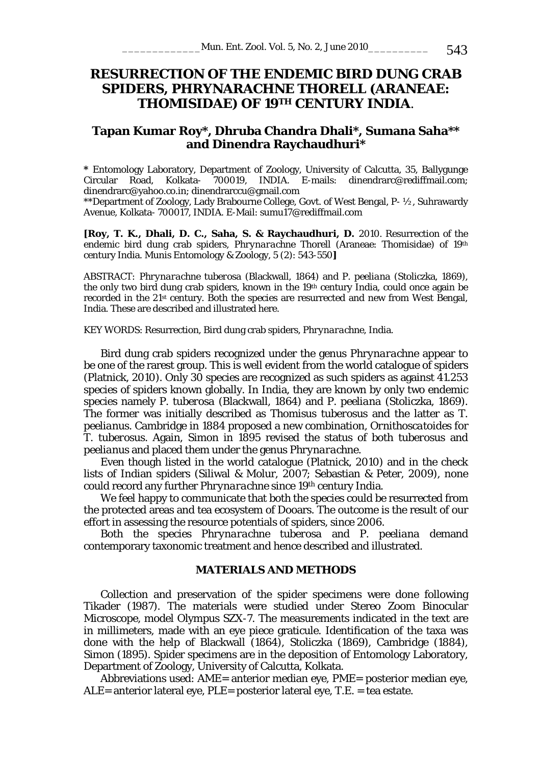# **RESURRECTION OF THE ENDEMIC BIRD DUNG CRAB SPIDERS,** *PHRYNARACHNE* **THORELL (ARANEAE: THOMISIDAE) OF 19TH CENTURY INDIA**.

# **Tapan Kumar Roy\*, Dhruba Chandra Dhali\*, Sumana Saha\*\* and Dinendra Raychaudhuri\***

**\*** Entomology Laboratory, Department of Zoology, University of Calcutta, 35, Ballygunge Circular Road, Kolkata- 700019, INDIA. E-mails: dinendrarc@rediffmail.com; dinendrarc@yahoo.co.in; dinendrarccu@gmail.com

\*\*Department of Zoology, Lady Brabourne College, Govt. of West Bengal, P- ½, Suhrawardy Avenue, Kolkata- 700017, INDIA. E-Mail: sumu17@rediffmail.com

**[Roy, T. K., Dhali, D. C., Saha, S. & Raychaudhuri, D.** 2010. Resurrection of the endemic bird dung crab spiders, *Phrynarachne* Thorell (Araneae: Thomisidae) of 19<sup>th</sup> century India. Munis Entomology & Zoology, 5 (2): 543-550**]** 

ABSTRACT: *Phrynarachne tuberosa* (Blackwall, 1864) and *P. peeliana* (Stoliczka, 1869), the only two bird dung crab spiders, known in the 19th century India, could once again be recorded in the  $21<sup>st</sup>$  century. Both the species are resurrected and new from West Bengal, India. These are described and illustrated here.

KEY WORDS: Resurrection, Bird dung crab spiders, *Phrynarachne*, India.

Bird dung crab spiders recognized under the genus *Phrynarachne* appear to be one of the rarest group. This is well evident from the world catalogue of spiders (Platnick, 2010). Only 30 species are recognized as such spiders as against 41.253 species of spiders known globally. In India, they are known by only two endemic species namely *P. tuberosa* (Blackwall, 1864) and *P. peeliana* (Stoliczka, 1869). The former was initially described as *Thomisus tuberosus* and the latter as *T. peelianus*. Cambridge in 1884 proposed a new combination, *Ornithoscatoides* for *T. tuberosus*. Again, Simon in 1895 revised the status of both *tuberosus* and *peelianus* and placed them under the genus *Phrynarachne*.

Even though listed in the world catalogue (Platnick, 2010) and in the check lists of Indian spiders (Siliwal & Molur, 2007; Sebastian & Peter, 2009), none could record any further *Phrynarachne* since 19th century India.

We feel happy to communicate that both the species could be resurrected from the protected areas and tea ecosystem of Dooars. The outcome is the result of our effort in assessing the resource potentials of spiders, since 2006.

Both the species *Phrynarachne tuberosa* and *P. peeliana* demand contemporary taxonomic treatment and hence described and illustrated.

## **MATERIALS AND METHODS**

Collection and preservation of the spider specimens were done following Tikader (1987). The materials were studied under Stereo Zoom Binocular Microscope, model Olympus SZX-7. The measurements indicated in the text are in millimeters, made with an eye piece graticule. Identification of the taxa was done with the help of Blackwall (1864), Stoliczka (1869), Cambridge (1884), Simon (1895). Spider specimens are in the deposition of Entomology Laboratory, Department of Zoology, University of Calcutta, Kolkata.

Abbreviations used: AME= anterior median eye, PME= posterior median eye, ALE= anterior lateral eye, PLE= posterior lateral eye, T.E. = tea estate.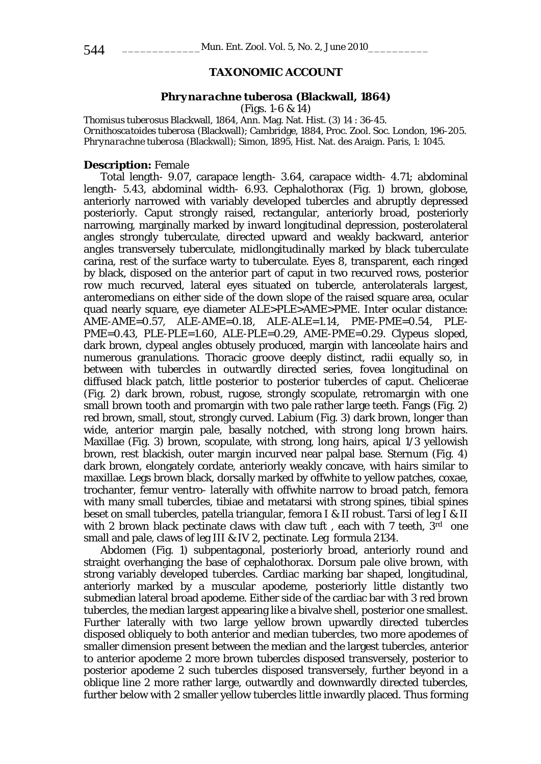# **TAXONOMIC ACCOUNT**

#### *Phrynarachne tuberosa* **(Blackwall, 1864)**

(Figs. 1-6 & 14)

*Thomisus tuberosus* Blackwall, 1864, Ann. Mag. Nat. Hist. (3) 14 : 36-45. *Ornithoscatoides tuberosa* (Blackwall); Cambridge, 1884, Proc. Zool. Soc. London, 196-205. *Phrynarachne tuberosa* (Blackwall); Simon, 1895, Hist. Nat. des Araign. Paris, 1: 1045.

# **Description:** Female

Total length- 9.07, carapace length- 3.64, carapace width- 4.71; abdominal length- 5.43, abdominal width- 6.93. Cephalothorax (Fig. 1) brown, globose, anteriorly narrowed with variably developed tubercles and abruptly depressed posteriorly. Caput strongly raised, rectangular, anteriorly broad, posteriorly narrowing, marginally marked by inward longitudinal depression, posterolateral angles strongly tuberculate, directed upward and weakly backward, anterior angles transversely tuberculate, midlongitudinally marked by black tuberculate carina, rest of the surface warty to tuberculate. Eyes 8, transparent, each ringed by black, disposed on the anterior part of caput in two recurved rows, posterior row much recurved, lateral eyes situated on tubercle, anterolaterals largest, anteromedians on either side of the down slope of the raised square area, ocular quad nearly square, eye diameter ALE>PLE>AME>PME. Inter ocular distance: AME-AME=0.57, ALE-AME=0.18, ALE-ALE=1.14, PME-PME=0.54, PLE-PME=0.43, PLE-PLE=1.60, ALE-PLE=0.29, AME-PME=0.29. Clypeus sloped, dark brown, clypeal angles obtusely produced, margin with lanceolate hairs and numerous granulations. Thoracic groove deeply distinct, radii equally so, in between with tubercles in outwardly directed series, fovea longitudinal on diffused black patch, little posterior to posterior tubercles of caput. Chelicerae (Fig. 2) dark brown, robust, rugose, strongly scopulate, retromargin with one small brown tooth and promargin with two pale rather large teeth. Fangs (Fig. 2) red brown, small, stout, strongly curved. Labium (Fig. 3) dark brown, longer than wide, anterior margin pale, basally notched, with strong long brown hairs. Maxillae (Fig. 3) brown, scopulate, with strong, long hairs, apical 1/3 yellowish brown, rest blackish, outer margin incurved near palpal base. Sternum (Fig. 4) dark brown, elongately cordate, anteriorly weakly concave, with hairs similar to maxillae. Legs brown black, dorsally marked by offwhite to yellow patches, coxae, trochanter, femur ventro- laterally with offwhite narrow to broad patch, femora with many small tubercles, tibiae and metatarsi with strong spines, tibial spines beset on small tubercles, patella triangular, femora I & II robust. Tarsi of leg I & II with 2 brown black pectinate claws with claw tuft, each with 7 teeth,  $3<sup>rd</sup>$  one small and pale, claws of leg III & IV 2, pectinate. Leg formula 2134.

Abdomen (Fig. 1) subpentagonal, posteriorly broad, anteriorly round and straight overhanging the base of cephalothorax. Dorsum pale olive brown, with strong variably developed tubercles. Cardiac marking bar shaped, longitudinal, anteriorly marked by a muscular apodeme, posteriorly little distantly two submedian lateral broad apodeme. Either side of the cardiac bar with 3 red brown tubercles, the median largest appearing like a bivalve shell, posterior one smallest. Further laterally with two large yellow brown upwardly directed tubercles disposed obliquely to both anterior and median tubercles, two more apodemes of smaller dimension present between the median and the largest tubercles, anterior to anterior apodeme 2 more brown tubercles disposed transversely, posterior to posterior apodeme 2 such tubercles disposed transversely, further beyond in a oblique line 2 more rather large, outwardly and downwardly directed tubercles, further below with 2 smaller yellow tubercles little inwardly placed. Thus forming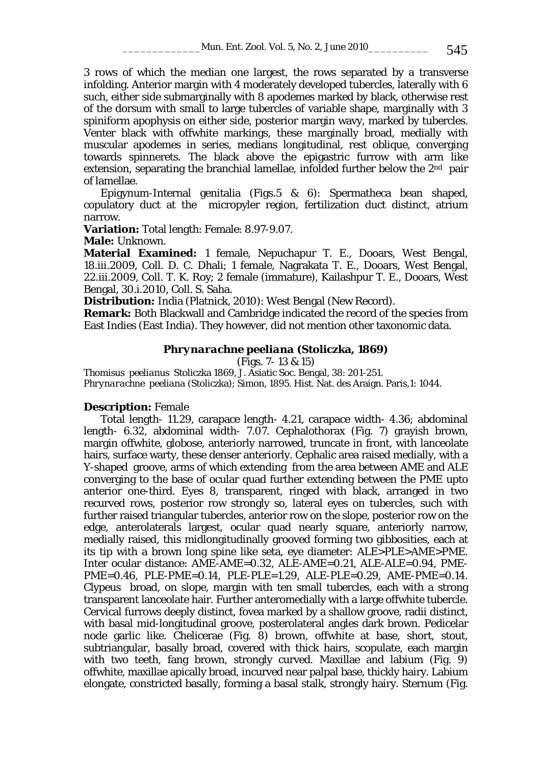3 rows of which the median one largest, the rows separated by a transverse infolding. Anterior margin with 4 moderately developed tubercles, laterally with 6 such, either side submarginally with 8 apodemes marked by black, otherwise rest of the dorsum with small to large tubercles of variable shape, marginally with 3 spiniform apophysis on either side, posterior margin wavy, marked by tubercles. Venter black with offwhite markings, these marginally broad, medially with muscular apodemes in series, medians longitudinal, rest oblique, converging towards spinnerets. The black above the epigastric furrow with arm like extension, separating the branchial lamellae, infolded further below the  $2<sup>nd</sup>$  pair of lamellae.

Epigynum-Internal genitalia (Figs.5 & 6): Spermatheca bean shaped, copulatory duct at the micropyler region, fertilization duct distinct, atrium narrow.

**Variation:** Total length: Female: 8.97-9.07.

**Male:** Unknown.

**Material Examined:** 1 female, Nepuchapur T. E., Dooars, West Bengal, 18.iii.2009, Coll. D. C. Dhali; 1 female, Nagrakata T. E., Dooars, West Bengal, 22.iii.2009, Coll. T. K. Roy; 2 female (immature), Kailashpur T. E., Dooars, West Bengal, 30.i.2010, Coll. S. Saha.

**Distribution:** India (Platnick, 2010): West Bengal (New Record).

**Remark:** Both Blackwall and Cambridge indicated the record of the species from East Indies (East India). They however, did not mention other taxonomic data.

#### *Phrynarachne peeliana* **(Stoliczka, 1869)**

(Figs. 7- 13 & 15)

*Thomisus peelianus* Stoliczka 1869, J. Asiatic Soc. Bengal, 38: 201-251. *Phrynarachne peeliana* (Stoliczka); Simon, 1895. Hist. Nat. des Araign. Paris,1: 1044.

### **Description:** Female

Total length- 11.29, carapace length- 4.21, carapace width- 4.36; abdominal length- 6.32, abdominal width- 7.07. Cephalothorax (Fig. 7) grayish brown, margin offwhite, globose, anteriorly narrowed, truncate in front, with lanceolate hairs, surface warty, these denser anteriorly. Cephalic area raised medially, with a Y-shaped groove, arms of which extending from the area between AME and ALE converging to the base of ocular quad further extending between the PME upto anterior one-third. Eyes 8, transparent, ringed with black, arranged in two recurved rows, posterior row strongly so, lateral eyes on tubercles, such with further raised triangular tubercles, anterior row on the slope, posterior row on the edge, anterolaterals largest, ocular quad nearly square, anteriorly narrow, medially raised, this midlongitudinally grooved forming two gibbosities, each at its tip with a brown long spine like seta, eye diameter: ALE>PLE>AME>PME. Inter ocular distance: AME-AME=0.32, ALE-AME=0.21, ALE-ALE=0.94, PME-PME=0.46, PLE-PME=0.14, PLE-PLE=1.29, ALE-PLE=0.29, AME-PME=0.14. Clypeus broad, on slope, margin with ten small tubercles, each with a strong transparent lanceolate hair. Further anteromedially with a large offwhite tubercle. Cervical furrows deeply distinct, fovea marked by a shallow groove, radii distinct, with basal mid-longitudinal groove, posterolateral angles dark brown. Pedicelar node garlic like. Chelicerae (Fig. 8) brown, offwhite at base, short, stout, subtriangular, basally broad, covered with thick hairs, scopulate, each margin with two teeth, fang brown, strongly curved. Maxillae and labium (Fig. 9) offwhite, maxillae apically broad, incurved near palpal base, thickly hairy. Labium elongate, constricted basally, forming a basal stalk, strongly hairy. Sternum (Fig.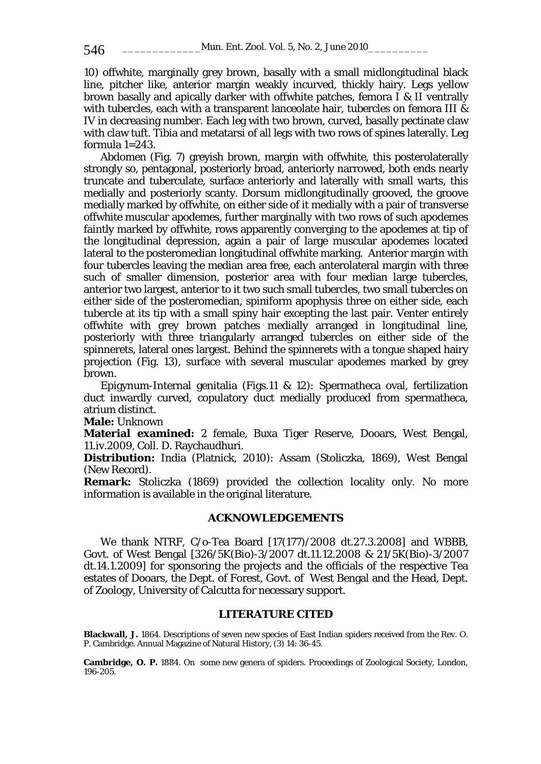10) offwhite, marginally grey brown, basally with a small midlongitudinal black line, pitcher like, anterior margin weakly incurved, thickly hairy. Legs yellow brown basally and apically darker with offwhite patches, femora I & II ventrally with tubercles, each with a transparent lanceolate hair, tubercles on femora III & IV in decreasing number. Each leg with two brown, curved, basally pectinate claw with claw tuft. Tibia and metatarsi of all legs with two rows of spines laterally. Leg formula 1=243.

Abdomen (Fig. 7) greyish brown, margin with offwhite, this posterolaterally strongly so, pentagonal, posteriorly broad, anteriorly narrowed, both ends nearly truncate and tuberculate, surface anteriorly and laterally with small warts, this medially and posteriorly scanty. Dorsum midlongitudinally grooved, the groove medially marked by offwhite, on either side of it medially with a pair of transverse offwhite muscular apodemes, further marginally with two rows of such apodemes faintly marked by offwhite, rows apparently converging to the apodemes at tip of the longitudinal depression, again a pair of large muscular apodemes located lateral to the posteromedian longitudinal offwhite marking. Anterior margin with four tubercles leaving the median area free, each anterolateral margin with three such of smaller dimension, posterior area with four median large tubercles, anterior two largest, anterior to it two such small tubercles, two small tubercles on either side of the posteromedian, spiniform apophysis three on either side, each tubercle at its tip with a small spiny hair excepting the last pair. Venter entirely offwhite with grey brown patches medially arranged in longitudinal line, posteriorly with three triangularly arranged tubercles on either side of the spinnerets, lateral ones largest. Behind the spinnerets with a tongue shaped hairy projection (Fig. 13), surface with several muscular apodemes marked by grey brown.

Epigynum-Internal genitalia (Figs.11 & 12): Spermatheca oval, fertilization duct inwardly curved, copulatory duct medially produced from spermatheca, atrium distinct.

**Male:** Unknown

**Material examined:** 2 female, Buxa Tiger Reserve, Dooars, West Bengal, 11.iv.2009, Coll. D. Raychaudhuri.

**Distribution:** India (Platnick, 2010): Assam (Stoliczka, 1869), West Bengal (New Record).

**Remark:** Stoliczka (1869) provided the collection locality only. No more information is available in the original literature.

## **ACKNOWLEDGEMENTS**

We thank NTRF, C/o-Tea Board [17(177)/2008 dt.27.3.2008] and WBBB, Govt. of West Bengal [326/5K(Bio)-3/2007 dt.11.12.2008 & 21/5K(Bio)-3/2007 dt.14.1.2009] for sponsoring the projects and the officials of the respective Tea estates of Dooars, the Dept. of Forest, Govt. of West Bengal and the Head, Dept. of Zoology, University of Calcutta for necessary support.

### **LITERATURE CITED**

**Blackwall, J.** 1864. Descriptions of seven new species of East Indian spiders received from the Rev. O. P. Cambridge. Annual Magazine of Natural History, (3) 14: 36-45.

**Cambridge, O. P.** 1884. On some new genera of spiders. Proceedings of Zoological Society, London, 196-205.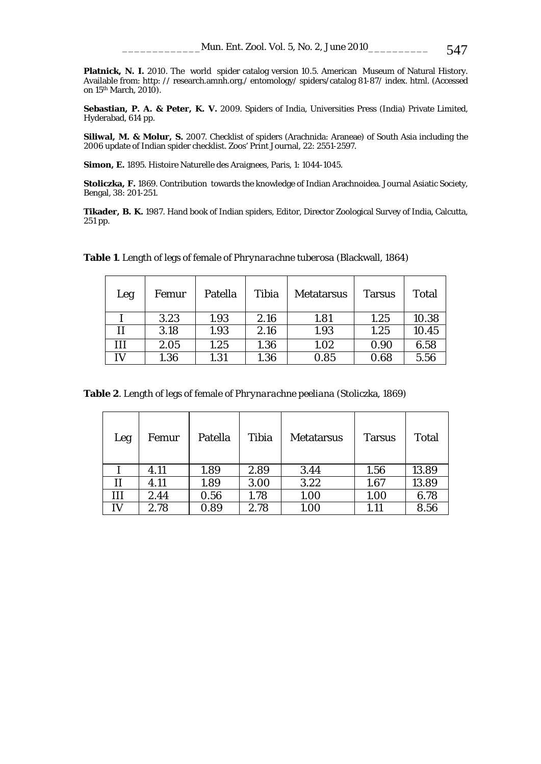**Platnick, N. I.** 2010. The world spider catalog version 10.5. American Museum of Natural History. Available from: http: // research.amnh.org./ entomology/ spiders/catalog 81-87/ index. html. (Accessed on 15th March, 2010).

**Sebastian, P. A. & Peter, K. V.** 2009. Spiders of India, Universities Press (India) Private Limited, Hyderabad, 614 pp.

**Siliwal, M. & Molur, S.** 2007. Checklist of spiders (Arachnida: Araneae) of South Asia including the 2006 update of Indian spider checklist. Zoos' Print Journal, 22: 2551-2597.

**Simon, E.** 1895. Histoire Naturelle des Araignees, Paris, 1: 1044-1045.

**Stoliczka, F.** 1869. Contribution towards the knowledge of Indian Arachnoidea. Journal Asiatic Society, Bengal, 38: 201-251.

**Tikader, B. K.** 1987. Hand book of Indian spiders, Editor, Director Zoological Survey of India, Calcutta, 251 pp.

| Leg | Femur | Patella | Tibia | <b>Metatarsus</b> | <b>Tarsus</b> | Total |
|-----|-------|---------|-------|-------------------|---------------|-------|
|     | 3.23  | 1.93    | 2.16  | 1.81              | 1.25          | 10.38 |
| п   | 3.18  | 1.93    | 2.16  | 1.93              | 1.25          | 10.45 |
| Ш   | 2.05  | 1.25    | 1.36  | 1.02              | 0.90          | 6.58  |
| IV  | 1.36  | 1.31    | 1.36  | 0.85              | 0.68          | 5.56  |

**Table 1**. Length of legs of female of *Phrynarachne tuberosa* (Blackwall, 1864)

**Table 2**. Length of legs of female of *Phrynarachne peeliana* (Stoliczka, 1869)

| Leg | Femur | Patella | Tibia | <b>Metatarsus</b> | <b>Tarsus</b> | Total |
|-----|-------|---------|-------|-------------------|---------------|-------|
|     | 4.11  | 1.89    | 2.89  | 3.44              | 1.56          | 13.89 |
| П   | 4.11  | 1.89    | 3.00  | 3.22              | 1.67          | 13.89 |
| Ш   | 2.44  | 0.56    | 1.78  | 1.00              | 1.00          | 6.78  |
| IV  | 2.78  | 0.89    | 2.78  | 1.00              | 1.11          | 8.56  |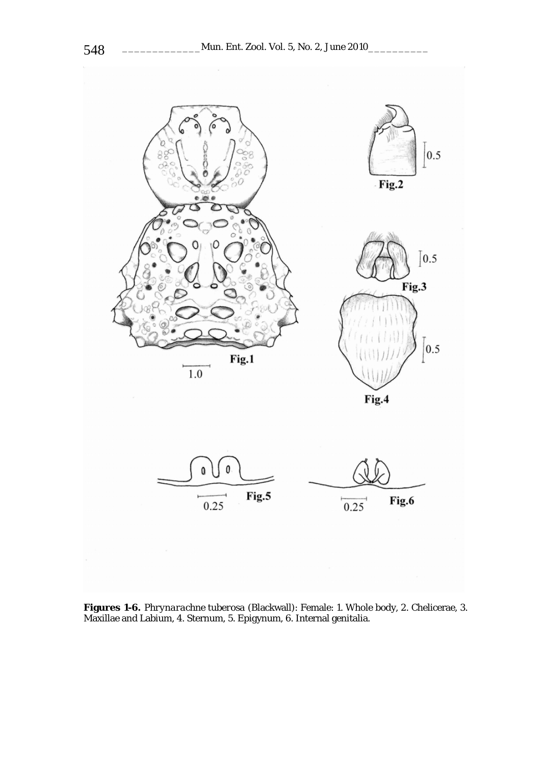

**Figures 1-6.** *Phrynarachne tuberosa* (Blackwall): Female: 1. Whole body, 2. Chelicerae, 3. Maxillae and Labium, 4. Sternum, 5. Epigynum, 6. Internal genitalia.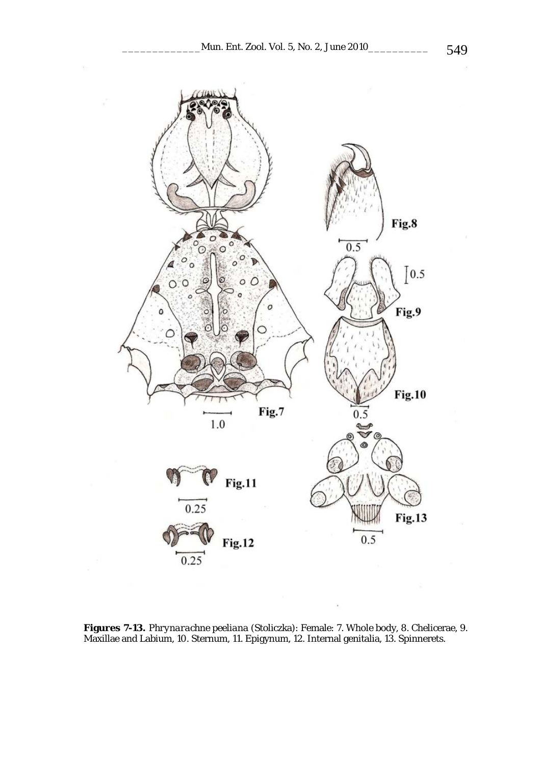

**Figures 7-13.** *Phrynarachne peeliana* (Stoliczka): Female: 7. Whole body, 8. Chelicerae, 9. Maxillae and Labium, 10. Sternum, 11. Epigynum, 12. Internal genitalia, 13. Spinnerets.